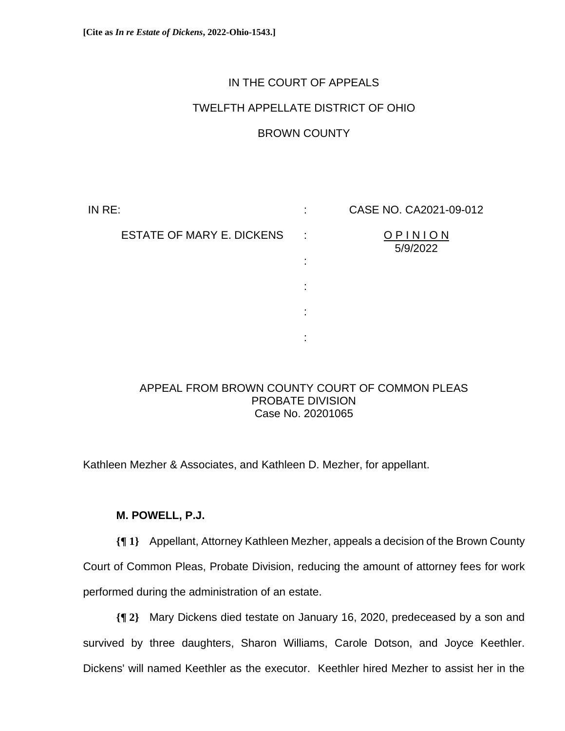# IN THE COURT OF APPEALS

# TWELFTH APPELLATE DISTRICT OF OHIO

## BROWN COUNTY

IN RE: ESTATE OF MARY E. DICKENS : : : : : : CASE NO. CA2021-09-012 O P I N I O N 5/9/2022

## APPEAL FROM BROWN COUNTY COURT OF COMMON PLEAS PROBATE DIVISION Case No. 20201065

Kathleen Mezher & Associates, and Kathleen D. Mezher, for appellant.

## **M. POWELL, P.J.**

**{¶ 1}** Appellant, Attorney Kathleen Mezher, appeals a decision of the Brown County Court of Common Pleas, Probate Division, reducing the amount of attorney fees for work performed during the administration of an estate.

**{¶ 2}** Mary Dickens died testate on January 16, 2020, predeceased by a son and survived by three daughters, Sharon Williams, Carole Dotson, and Joyce Keethler. Dickens' will named Keethler as the executor. Keethler hired Mezher to assist her in the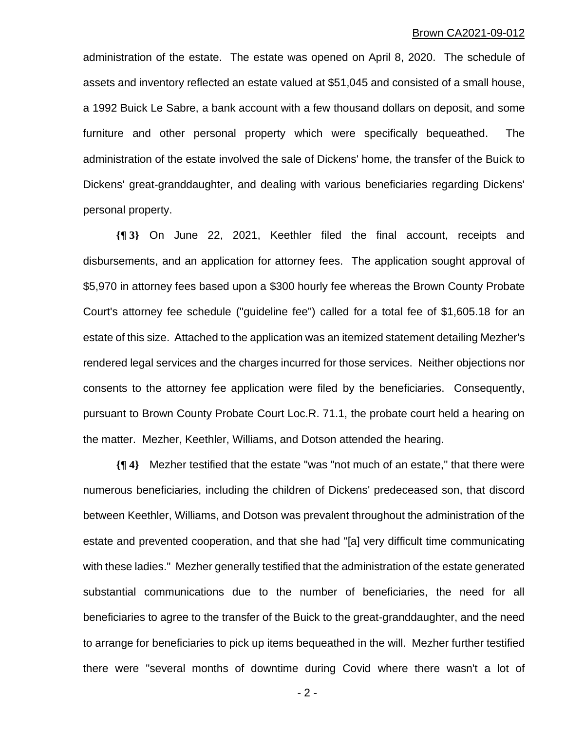administration of the estate. The estate was opened on April 8, 2020. The schedule of assets and inventory reflected an estate valued at \$51,045 and consisted of a small house, a 1992 Buick Le Sabre, a bank account with a few thousand dollars on deposit, and some furniture and other personal property which were specifically bequeathed. The administration of the estate involved the sale of Dickens' home, the transfer of the Buick to Dickens' great-granddaughter, and dealing with various beneficiaries regarding Dickens' personal property.

**{¶ 3}** On June 22, 2021, Keethler filed the final account, receipts and disbursements, and an application for attorney fees. The application sought approval of \$5,970 in attorney fees based upon a \$300 hourly fee whereas the Brown County Probate Court's attorney fee schedule ("guideline fee") called for a total fee of \$1,605.18 for an estate of this size. Attached to the application was an itemized statement detailing Mezher's rendered legal services and the charges incurred for those services. Neither objections nor consents to the attorney fee application were filed by the beneficiaries. Consequently, pursuant to Brown County Probate Court Loc.R. 71.1, the probate court held a hearing on the matter. Mezher, Keethler, Williams, and Dotson attended the hearing.

**{¶ 4}** Mezher testified that the estate "was "not much of an estate," that there were numerous beneficiaries, including the children of Dickens' predeceased son, that discord between Keethler, Williams, and Dotson was prevalent throughout the administration of the estate and prevented cooperation, and that she had "[a] very difficult time communicating with these ladies." Mezher generally testified that the administration of the estate generated substantial communications due to the number of beneficiaries, the need for all beneficiaries to agree to the transfer of the Buick to the great-granddaughter, and the need to arrange for beneficiaries to pick up items bequeathed in the will. Mezher further testified there were "several months of downtime during Covid where there wasn't a lot of

- 2 -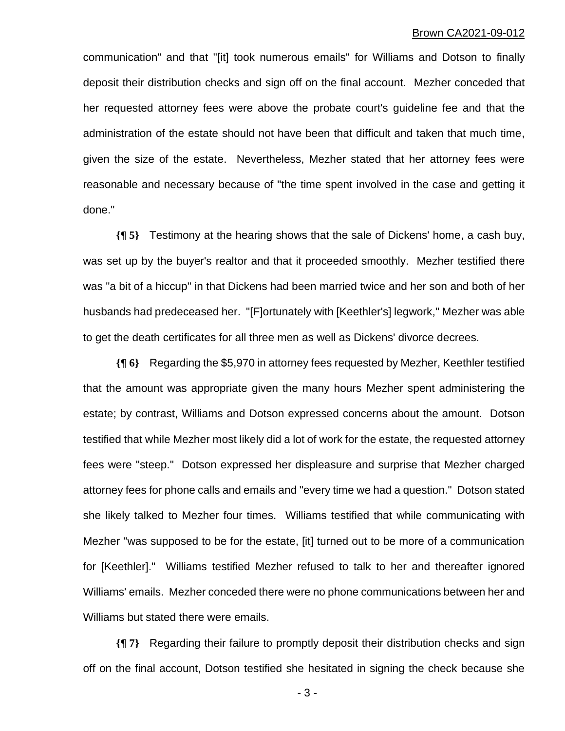communication" and that "[it] took numerous emails" for Williams and Dotson to finally deposit their distribution checks and sign off on the final account. Mezher conceded that her requested attorney fees were above the probate court's guideline fee and that the administration of the estate should not have been that difficult and taken that much time, given the size of the estate. Nevertheless, Mezher stated that her attorney fees were reasonable and necessary because of "the time spent involved in the case and getting it done."

**{¶ 5}** Testimony at the hearing shows that the sale of Dickens' home, a cash buy, was set up by the buyer's realtor and that it proceeded smoothly. Mezher testified there was "a bit of a hiccup" in that Dickens had been married twice and her son and both of her husbands had predeceased her. "[F]ortunately with [Keethler's] legwork," Mezher was able to get the death certificates for all three men as well as Dickens' divorce decrees.

**{¶ 6}** Regarding the \$5,970 in attorney fees requested by Mezher, Keethler testified that the amount was appropriate given the many hours Mezher spent administering the estate; by contrast, Williams and Dotson expressed concerns about the amount. Dotson testified that while Mezher most likely did a lot of work for the estate, the requested attorney fees were "steep." Dotson expressed her displeasure and surprise that Mezher charged attorney fees for phone calls and emails and "every time we had a question." Dotson stated she likely talked to Mezher four times. Williams testified that while communicating with Mezher "was supposed to be for the estate, [it] turned out to be more of a communication for [Keethler]." Williams testified Mezher refused to talk to her and thereafter ignored Williams' emails. Mezher conceded there were no phone communications between her and Williams but stated there were emails.

**{¶ 7}** Regarding their failure to promptly deposit their distribution checks and sign off on the final account, Dotson testified she hesitated in signing the check because she

- 3 -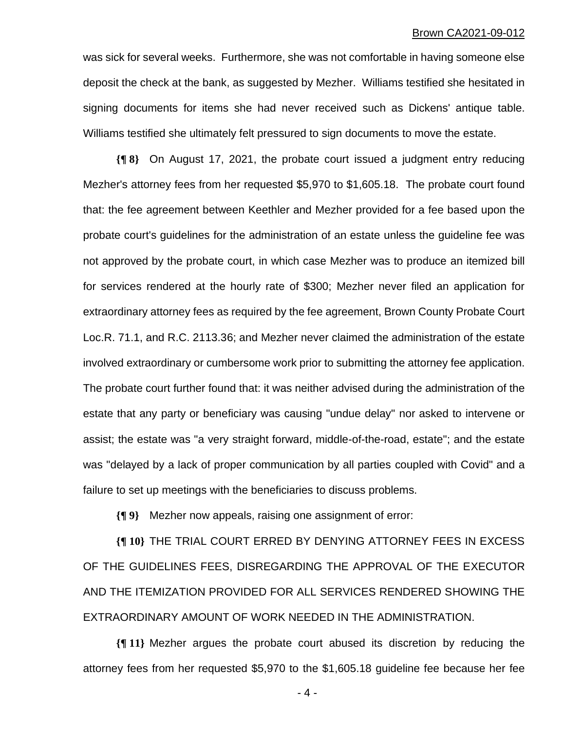was sick for several weeks. Furthermore, she was not comfortable in having someone else deposit the check at the bank, as suggested by Mezher. Williams testified she hesitated in signing documents for items she had never received such as Dickens' antique table. Williams testified she ultimately felt pressured to sign documents to move the estate.

**{¶ 8}** On August 17, 2021, the probate court issued a judgment entry reducing Mezher's attorney fees from her requested \$5,970 to \$1,605.18. The probate court found that: the fee agreement between Keethler and Mezher provided for a fee based upon the probate court's guidelines for the administration of an estate unless the guideline fee was not approved by the probate court, in which case Mezher was to produce an itemized bill for services rendered at the hourly rate of \$300; Mezher never filed an application for extraordinary attorney fees as required by the fee agreement, Brown County Probate Court Loc.R. 71.1, and R.C. 2113.36; and Mezher never claimed the administration of the estate involved extraordinary or cumbersome work prior to submitting the attorney fee application. The probate court further found that: it was neither advised during the administration of the estate that any party or beneficiary was causing "undue delay" nor asked to intervene or assist; the estate was "a very straight forward, middle-of-the-road, estate"; and the estate was "delayed by a lack of proper communication by all parties coupled with Covid" and a failure to set up meetings with the beneficiaries to discuss problems.

**{¶ 9}** Mezher now appeals, raising one assignment of error:

**{¶ 10}** THE TRIAL COURT ERRED BY DENYING ATTORNEY FEES IN EXCESS OF THE GUIDELINES FEES, DISREGARDING THE APPROVAL OF THE EXECUTOR AND THE ITEMIZATION PROVIDED FOR ALL SERVICES RENDERED SHOWING THE EXTRAORDINARY AMOUNT OF WORK NEEDED IN THE ADMINISTRATION.

**{¶ 11}** Mezher argues the probate court abused its discretion by reducing the attorney fees from her requested \$5,970 to the \$1,605.18 guideline fee because her fee

- 4 -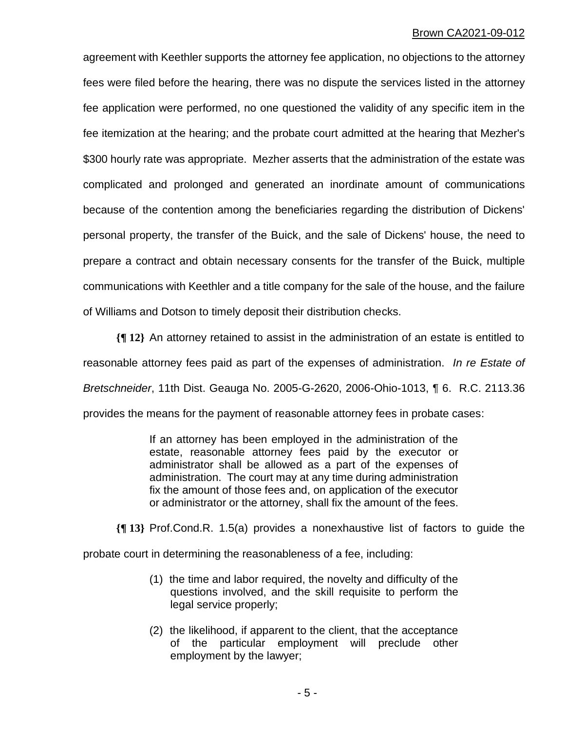agreement with Keethler supports the attorney fee application, no objections to the attorney fees were filed before the hearing, there was no dispute the services listed in the attorney fee application were performed, no one questioned the validity of any specific item in the fee itemization at the hearing; and the probate court admitted at the hearing that Mezher's \$300 hourly rate was appropriate. Mezher asserts that the administration of the estate was complicated and prolonged and generated an inordinate amount of communications because of the contention among the beneficiaries regarding the distribution of Dickens' personal property, the transfer of the Buick, and the sale of Dickens' house, the need to prepare a contract and obtain necessary consents for the transfer of the Buick, multiple communications with Keethler and a title company for the sale of the house, and the failure of Williams and Dotson to timely deposit their distribution checks.

**{¶ 12}** An attorney retained to assist in the administration of an estate is entitled to reasonable attorney fees paid as part of the expenses of administration. *In re Estate of Bretschneider*, 11th Dist. Geauga No. 2005-G-2620, 2006-Ohio-1013, ¶ 6. R.C. 2113.36 provides the means for the payment of reasonable attorney fees in probate cases:

> If an attorney has been employed in the administration of the estate, reasonable attorney fees paid by the executor or administrator shall be allowed as a part of the expenses of administration. The court may at any time during administration fix the amount of those fees and, on application of the executor or administrator or the attorney, shall fix the amount of the fees.

**{¶ 13}** Prof.Cond.R. 1.5(a) provides a nonexhaustive list of factors to guide the

probate court in determining the reasonableness of a fee, including:

- (1) the time and labor required, the novelty and difficulty of the questions involved, and the skill requisite to perform the legal service properly;
- (2) the likelihood, if apparent to the client, that the acceptance of the particular employment will preclude other employment by the lawyer;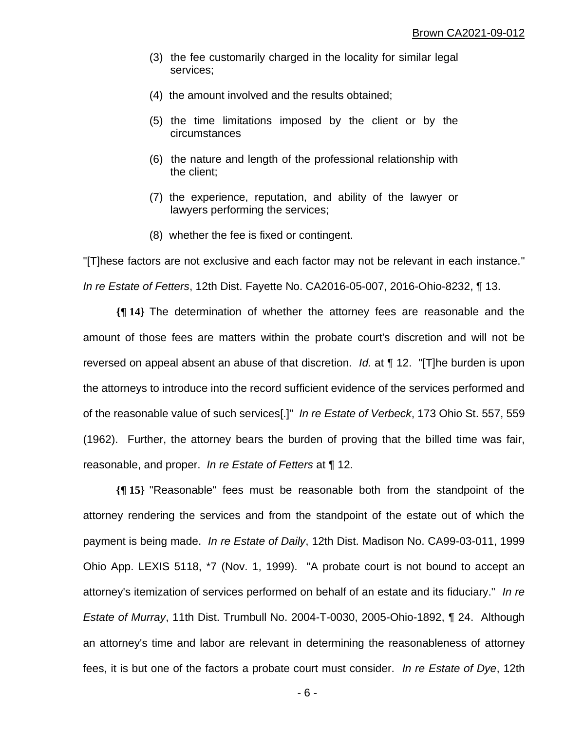- (3) the fee customarily charged in the locality for similar legal services;
- (4) the amount involved and the results obtained;
- (5) the time limitations imposed by the client or by the circumstances
- (6) the nature and length of the professional relationship with the client;
- (7) the experience, reputation, and ability of the lawyer or lawyers performing the services;
- (8) whether the fee is fixed or contingent.

"[T]hese factors are not exclusive and each factor may not be relevant in each instance." *In re Estate of Fetters*, 12th Dist. Fayette No. CA2016-05-007, 2016-Ohio-8232, ¶ 13.

**{¶ 14}** The determination of whether the attorney fees are reasonable and the amount of those fees are matters within the probate court's discretion and will not be reversed on appeal absent an abuse of that discretion. *Id.* at ¶ 12. "[T]he burden is upon the attorneys to introduce into the record sufficient evidence of the services performed and of the reasonable value of such services[.]" *In re Estate of Verbeck*, 173 Ohio St. 557, 559 (1962). Further, the attorney bears the burden of proving that the billed time was fair, reasonable, and proper. *In re Estate of Fetters* at ¶ 12.

**{¶ 15}** "Reasonable" fees must be reasonable both from the standpoint of the attorney rendering the services and from the standpoint of the estate out of which the payment is being made. *In re Estate of Daily*, 12th Dist. Madison No. CA99-03-011, 1999 Ohio App. LEXIS 5118, \*7 (Nov. 1, 1999). "A probate court is not bound to accept an attorney's itemization of services performed on behalf of an estate and its fiduciary." *In re Estate of Murray*, 11th Dist. Trumbull No. 2004-T-0030, 2005-Ohio-1892, ¶ 24. Although an attorney's time and labor are relevant in determining the reasonableness of attorney fees, it is but one of the factors a probate court must consider. *In re Estate of Dye*, 12th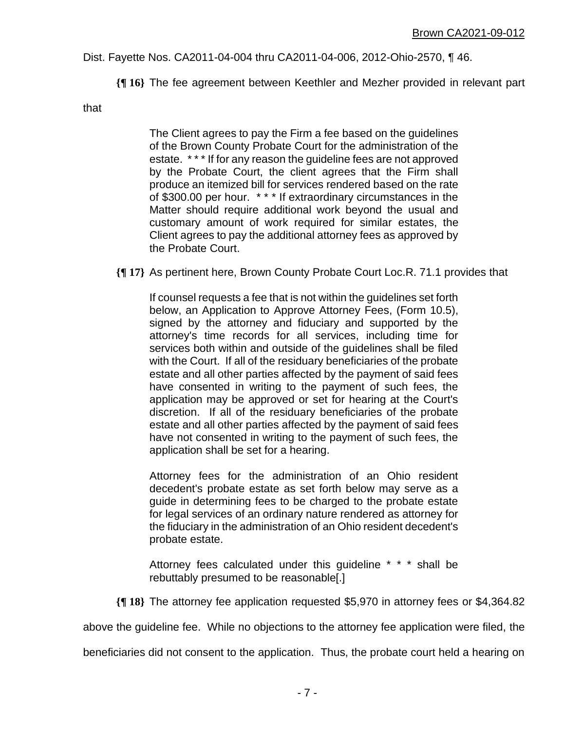### Dist. Fayette Nos. CA2011-04-004 thru CA2011-04-006, 2012-Ohio-2570, ¶ 46.

**{¶ 16}** The fee agreement between Keethler and Mezher provided in relevant part

that

The Client agrees to pay the Firm a fee based on the guidelines of the Brown County Probate Court for the administration of the estate. \* \* \* If for any reason the guideline fees are not approved by the Probate Court, the client agrees that the Firm shall produce an itemized bill for services rendered based on the rate of \$300.00 per hour. \* \* \* If extraordinary circumstances in the Matter should require additional work beyond the usual and customary amount of work required for similar estates, the Client agrees to pay the additional attorney fees as approved by the Probate Court.

**{¶ 17}** As pertinent here, Brown County Probate Court Loc.R. 71.1 provides that

If counsel requests a fee that is not within the guidelines set forth below, an Application to Approve Attorney Fees, (Form 10.5), signed by the attorney and fiduciary and supported by the attorney's time records for all services, including time for services both within and outside of the guidelines shall be filed with the Court. If all of the residuary beneficiaries of the probate estate and all other parties affected by the payment of said fees have consented in writing to the payment of such fees, the application may be approved or set for hearing at the Court's discretion. If all of the residuary beneficiaries of the probate estate and all other parties affected by the payment of said fees have not consented in writing to the payment of such fees, the application shall be set for a hearing.

Attorney fees for the administration of an Ohio resident decedent's probate estate as set forth below may serve as a guide in determining fees to be charged to the probate estate for legal services of an ordinary nature rendered as attorney for the fiduciary in the administration of an Ohio resident decedent's probate estate.

Attorney fees calculated under this guideline \* \* \* shall be rebuttably presumed to be reasonable[.]

**{¶ 18}** The attorney fee application requested \$5,970 in attorney fees or \$4,364.82

above the guideline fee. While no objections to the attorney fee application were filed, the

beneficiaries did not consent to the application. Thus, the probate court held a hearing on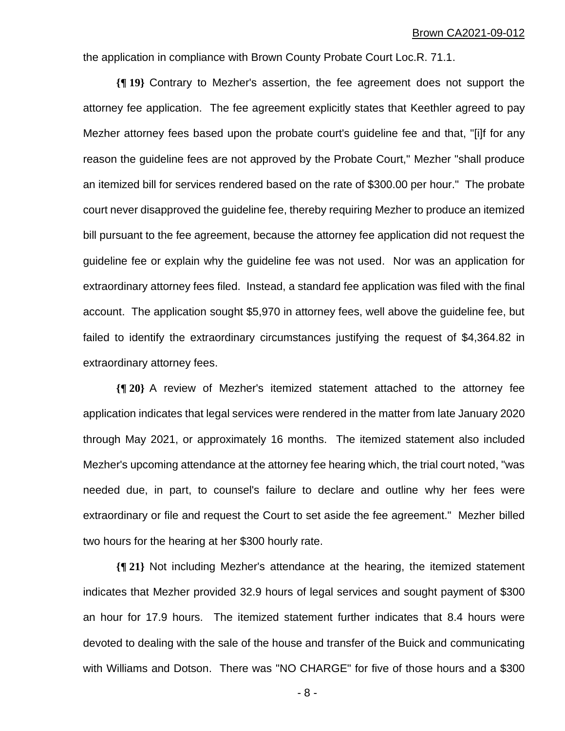the application in compliance with Brown County Probate Court Loc.R. 71.1.

**{¶ 19}** Contrary to Mezher's assertion, the fee agreement does not support the attorney fee application. The fee agreement explicitly states that Keethler agreed to pay Mezher attorney fees based upon the probate court's guideline fee and that, "[i]f for any reason the guideline fees are not approved by the Probate Court," Mezher "shall produce an itemized bill for services rendered based on the rate of \$300.00 per hour." The probate court never disapproved the guideline fee, thereby requiring Mezher to produce an itemized bill pursuant to the fee agreement, because the attorney fee application did not request the guideline fee or explain why the guideline fee was not used. Nor was an application for extraordinary attorney fees filed. Instead, a standard fee application was filed with the final account. The application sought \$5,970 in attorney fees, well above the guideline fee, but failed to identify the extraordinary circumstances justifying the request of \$4,364.82 in extraordinary attorney fees.

**{¶ 20}** A review of Mezher's itemized statement attached to the attorney fee application indicates that legal services were rendered in the matter from late January 2020 through May 2021, or approximately 16 months. The itemized statement also included Mezher's upcoming attendance at the attorney fee hearing which, the trial court noted, "was needed due, in part, to counsel's failure to declare and outline why her fees were extraordinary or file and request the Court to set aside the fee agreement." Mezher billed two hours for the hearing at her \$300 hourly rate.

**{¶ 21}** Not including Mezher's attendance at the hearing, the itemized statement indicates that Mezher provided 32.9 hours of legal services and sought payment of \$300 an hour for 17.9 hours. The itemized statement further indicates that 8.4 hours were devoted to dealing with the sale of the house and transfer of the Buick and communicating with Williams and Dotson. There was "NO CHARGE" for five of those hours and a \$300

- 8 -